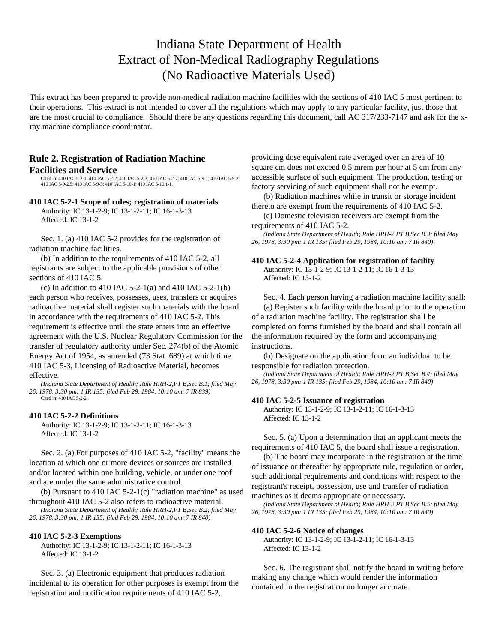# Indiana State Department of Health Extract of Non-Medical Radiography Regulations (No Radioactive Materials Used)

This extract has been prepared to provide non-medical radiation machine facilities with the sections of 410 IAC 5 most pertinent to their operations. This extract is not intended to cover all the regulations which may apply to any particular facility, just those that are the most crucial to compliance. Should there be any questions regarding this document, call AC 317/233-7147 and ask for the xray machine compliance coordinator.

## **Rule 2. Registration of Radiation Machine Facilities and Service**

Cited in: 410 IAC 5-2-1; 410 IAC 5-2-2; 410 IAC 5-2-3; 410 IAC 5-2-7; 410 IAC 5-9-1; 410 IAC 5-9-2; 410 IAC 5-9-2.5; 410 IAC 5-9-3; 410 IAC 5-10-1; 410 IAC 5-10.1-1.

### **410 IAC 5-2-1 Scope of rules; registration of materials**

Authority: IC 13-1-2-9; IC 13-1-2-11; IC 16-1-3-13 Affected: IC 13-1-2

Sec. 1. (a) 410 IAC 5-2 provides for the registration of radiation machine facilities.

(b) In addition to the requirements of 410 IAC 5-2, all registrants are subject to the applicable provisions of other sections of 410 IAC 5.

(c) In addition to 410 IAC 5-2-1(a) and 410 IAC 5-2-1(b) each person who receives, possesses, uses, transfers or acquires radioactive material shall register such materials with the board in accordance with the requirements of 410 IAC 5-2. This requirement is effective until the state enters into an effective agreement with the U.S. Nuclear Regulatory Commission for the transfer of regulatory authority under Sec. 274(b) of the Atomic Energy Act of 1954, as amended (73 Stat. 689) at which time 410 IAC 5-3, Licensing of Radioactive Material, becomes effective.

*(Indiana State Department of Health; Rule HRH-2,PT B,Sec B.1; filed May 26, 1978, 3:30 pm: 1 IR 135; filed Feb 29, 1984, 10:10 am: 7 IR 839)* Cited in: 410 IAC 5-2-2.

### **410 IAC 5-2-2 Definitions**

Authority: IC 13-1-2-9; IC 13-1-2-11; IC 16-1-3-13 Affected: IC 13-1-2

Sec. 2. (a) For purposes of 410 IAC 5-2, "facility" means the location at which one or more devices or sources are installed and/or located within one building, vehicle, or under one roof and are under the same administrative control.

(b) Pursuant to 410 IAC 5-2-1(c) "radiation machine" as used throughout 410 IAC 5-2 also refers to radioactive material.

*(Indiana State Department of Health; Rule HRH-2,PT B,Sec B.2; filed May 26, 1978, 3:30 pm: 1 IR 135; filed Feb 29, 1984, 10:10 am: 7 IR 840)*

### **410 IAC 5-2-3 Exemptions**

Authority: IC 13-1-2-9; IC 13-1-2-11; IC 16-1-3-13 Affected: IC 13-1-2

Sec. 3. (a) Electronic equipment that produces radiation incidental to its operation for other purposes is exempt from the registration and notification requirements of 410 IAC 5-2,

providing dose equivalent rate averaged over an area of 10 square cm does not exceed 0.5 mrem per hour at 5 cm from any accessible surface of such equipment. The production, testing or factory servicing of such equipment shall not be exempt.

(b) Radiation machines while in transit or storage incident thereto are exempt from the requirements of 410 IAC 5-2.

(c) Domestic television receivers are exempt from the requirements of 410 IAC 5-2.

*(Indiana State Department of Health; Rule HRH-2,PT B,Sec B.3; filed May 26, 1978, 3:30 pm: 1 IR 135; filed Feb 29, 1984, 10:10 am: 7 IR 840)*

### **410 IAC 5-2-4 Application for registration of facility**

Authority: IC 13-1-2-9; IC 13-1-2-11; IC 16-1-3-13 Affected: IC 13-1-2

Sec. 4. Each person having a radiation machine facility shall: (a) Register such facility with the board prior to the operation of a radiation machine facility. The registration shall be completed on forms furnished by the board and shall contain all the information required by the form and accompanying instructions.

(b) Designate on the application form an individual to be responsible for radiation protection.

*(Indiana State Department of Health; Rule HRH-2,PT B,Sec B.4; filed May 26, 1978, 3:30 pm: 1 IR 135; filed Feb 29, 1984, 10:10 am: 7 IR 840)*

### **410 IAC 5-2-5 Issuance of registration**

Authority: IC 13-1-2-9; IC 13-1-2-11; IC 16-1-3-13 Affected: IC 13-1-2

Sec. 5. (a) Upon a determination that an applicant meets the requirements of 410 IAC 5, the board shall issue a registration.

(b) The board may incorporate in the registration at the time of issuance or thereafter by appropriate rule, regulation or order, such additional requirements and conditions with respect to the registrant's receipt, possession, use and transfer of radiation machines as it deems appropriate or necessary.

*(Indiana State Department of Health; Rule HRH-2,PT B,Sec B.5; filed May 26, 1978, 3:30 pm: 1 IR 135; filed Feb 29, 1984, 10:10 am: 7 IR 840)*

### **410 IAC 5-2-6 Notice of changes**

Authority: IC 13-1-2-9; IC 13-1-2-11; IC 16-1-3-13 Affected: IC 13-1-2

Sec. 6. The registrant shall notify the board in writing before making any change which would render the information contained in the registration no longer accurate.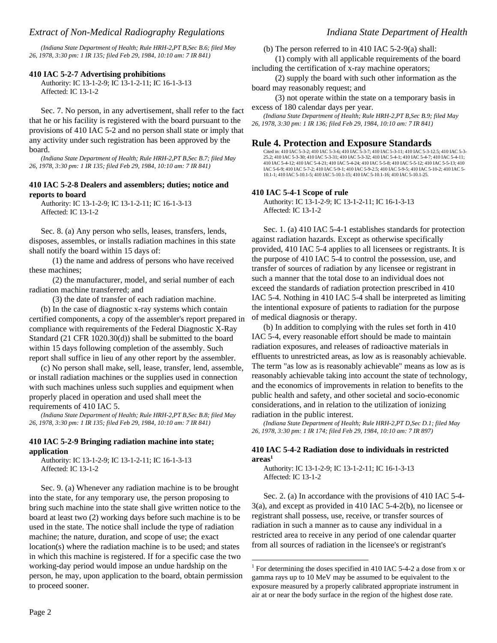*(Indiana State Department of Health; Rule HRH-2,PT B,Sec B.6; filed May 26, 1978, 3:30 pm: 1 IR 135; filed Feb 29, 1984, 10:10 am: 7 IR 841)*

### **410 IAC 5-2-7 Advertising prohibitions**

Authority: IC 13-1-2-9; IC 13-1-2-11; IC 16-1-3-13 Affected: IC 13-1-2

Sec. 7. No person, in any advertisement, shall refer to the fact that he or his facility is registered with the board pursuant to the provisions of 410 IAC 5-2 and no person shall state or imply that any activity under such registration has been approved by the board.

*(Indiana State Department of Health; Rule HRH-2,PT B,Sec B.7; filed May 26, 1978, 3:30 pm: 1 IR 135; filed Feb 29, 1984, 10:10 am: 7 IR 841)*

### **410 IAC 5-2-8 Dealers and assemblers; duties; notice and reports to board**

Authority: IC 13-1-2-9; IC 13-1-2-11; IC 16-1-3-13 Affected: IC 13-1-2

Sec. 8. (a) Any person who sells, leases, transfers, lends, disposes, assembles, or installs radiation machines in this state shall notify the board within 15 days of:

(1) the name and address of persons who have received these machines;

(2) the manufacturer, model, and serial number of each radiation machine transferred; and

(3) the date of transfer of each radiation machine.

(b) In the case of diagnostic x-ray systems which contain certified components, a copy of the assembler's report prepared in compliance with requirements of the Federal Diagnostic X-Ray Standard (21 CFR 1020.30(d)) shall be submitted to the board within 15 days following completion of the assembly. Such report shall suffice in lieu of any other report by the assembler.

(c) No person shall make, sell, lease, transfer, lend, assemble, or install radiation machines or the supplies used in connection with such machines unless such supplies and equipment when properly placed in operation and used shall meet the requirements of 410 IAC 5.

*(Indiana State Department of Health; Rule HRH-2,PT B,Sec B.8; filed May 26, 1978, 3:30 pm: 1 IR 135; filed Feb 29, 1984, 10:10 am: 7 IR 841)*

### **410 IAC 5-2-9 Bringing radiation machine into state; application**

Authority: IC 13-1-2-9; IC 13-1-2-11; IC 16-1-3-13 Affected: IC 13-1-2

Sec. 9. (a) Whenever any radiation machine is to be brought into the state, for any temporary use, the person proposing to bring such machine into the state shall give written notice to the board at least two (2) working days before such machine is to be used in the state. The notice shall include the type of radiation machine; the nature, duration, and scope of use; the exact location(s) where the radiation machine is to be used; and states in which this machine is registered. If for a specific case the two working-day period would impose an undue hardship on the person, he may, upon application to the board, obtain permission to proceed sooner.

(b) The person referred to in 410 IAC 5-2-9(a) shall:

(1) comply with all applicable requirements of the board including the certification of x-ray machine operators;

(2) supply the board with such other information as the board may reasonably request; and

(3) not operate within the state on a temporary basis in excess of 180 calendar days per year.

*(Indiana State Department of Health; Rule HRH-2,PT B,Sec B.9; filed May 26, 1978, 3:30 pm: 1 IR 136; filed Feb 29, 1984, 10:10 am: 7 IR 841)*

### **Rule 4. Protection and Exposure Standards**

Cited in: 410 IAC 5-3-2; 410 IAC 5-3-6; 410 IAC 5-3-7; 410 IAC 5-3-11; 410 IAC 5-3-12.5; 410 IAC 5-3- 25.2; 410 IAC 5-3-30; 410 IAC 5-3-31; 410 IAC 5-3-32; 410 IAC 5-4-1; 410 IAC 5-4-7; 410 IAC 5-4-11; 410 IAC 5-4-12; 410 IAC 5-4-21; 410 IAC 5-4-24; 410 IAC 5-5-8; 410 IAC 5-5-12; 410 IAC 5-5-13; 410 IAC 5-6-9; 410 IAC 5-7-2; 410 IAC 5-9-1; 410 IAC 5-9-2.5; 410 IAC 5-9-5; 410 IAC 5-10-2; 410 IAC 5- 10.1-1; 410 IAC 5-10.1-5; 410 IAC 5-10.1-15; 410 IAC 5-10.1-16; 410 IAC 5-10.1-25.

### **410 IAC 5-4-1 Scope of rule**

Authority: IC 13-1-2-9; IC 13-1-2-11; IC 16-1-3-13 Affected: IC 13-1-2

Sec. 1. (a) 410 IAC 5-4-1 establishes standards for protection against radiation hazards. Except as otherwise specifically provided, 410 IAC 5-4 applies to all licensees or registrants. It is the purpose of 410 IAC 5-4 to control the possession, use, and transfer of sources of radiation by any licensee or registrant in such a manner that the total dose to an individual does not exceed the standards of radiation protection prescribed in 410 IAC 5-4. Nothing in 410 IAC 5-4 shall be interpreted as limiting the intentional exposure of patients to radiation for the purpose of medical diagnosis or therapy.

(b) In addition to complying with the rules set forth in 410 IAC 5-4, every reasonable effort should be made to maintain radiation exposures, and releases of radioactive materials in effluents to unrestricted areas, as low as is reasonably achievable. The term "as low as is reasonably achievable" means as low as is reasonably achievable taking into account the state of technology, and the economics of improvements in relation to benefits to the public health and safety, and other societal and socio-economic considerations, and in relation to the utilization of ionizing radiation in the public interest.

*(Indiana State Department of Health; Rule HRH-2,PT D,Sec D.1; filed May 26, 1978, 3:30 pm: 1 IR 174; filed Feb 29, 1984, 10:10 am: 7 IR 897)*

### **410 IAC 5-4-2 Radiation dose to individuals in restricted areas<sup>1</sup>**

Authority: IC 13-1-2-9; IC 13-1-2-11; IC 16-1-3-13 Affected: IC 13-1-2

-

Sec. 2. (a) In accordance with the provisions of 410 IAC 5-4- 3(a), and except as provided in 410 IAC 5-4-2(b), no licensee or registrant shall possess, use, receive, or transfer sources of radiation in such a manner as to cause any individual in a restricted area to receive in any period of one calendar quarter from all sources of radiation in the licensee's or registrant's

<sup>&</sup>lt;sup>1</sup> For determining the doses specified in 410 IAC 5-4-2 a dose from x or gamma rays up to 10 MeV may be assumed to be equivalent to the exposure measured by a properly calibrated appropriate instrument in air at or near the body surface in the region of the highest dose rate.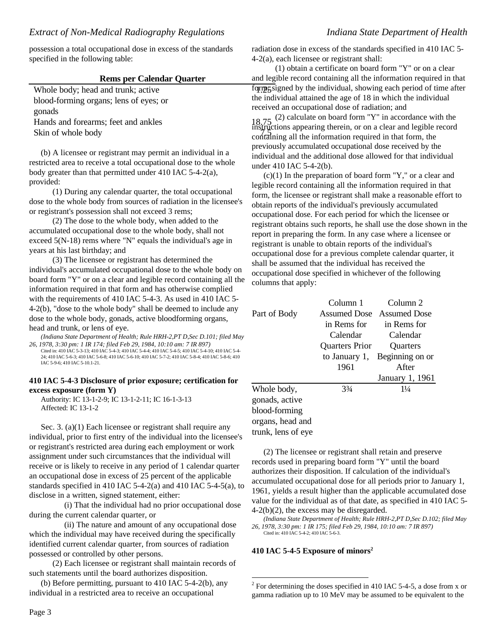possession a total occupational dose in excess of the standards specified in the following table:

### **Rems per Calendar Quarter**

Whole body; head and trunk; active blood-forming organs; lens of eyes; or gonads Hands and forearms; feet and ankles

Skin of whole body

(b) A licensee or registrant may permit an individual in a restricted area to receive a total occupational dose to the whole body greater than that permitted under 410 IAC 5-4-2(a), provided:

(1) During any calendar quarter, the total occupational dose to the whole body from sources of radiation in the licensee's or registrant's possession shall not exceed 3 rems;

(2) The dose to the whole body, when added to the accumulated occupational dose to the whole body, shall not exceed 5(N-18) rems where "N" equals the individual's age in years at his last birthday; and

(3) The licensee or registrant has determined the individual's accumulated occupational dose to the whole body on board form "Y" or on a clear and legible record containing all the information required in that form and has otherwise complied with the requirements of 410 IAC 5-4-3. As used in 410 IAC 5- 4-2(b), "dose to the whole body" shall be deemed to include any dose to the whole body, gonads, active bloodforming organs, head and trunk, or lens of eye.

*(Indiana State Department of Health; Rule HRH-2,PT D,Sec D.101; filed May 26, 1978, 3:30 pm: 1 IR 174; filed Feb 29, 1984, 10:10 am: 7 IR 897)*

Cited in: 410 IAC 5-3-13; 410 IAC 5-4-3; 410 IAC 5-4-4; 410 IAC 5-4-5; 410 IAC 5-4-10; 410 IAC 5-4- 24; 410 IAC 5-6-3; 410 IAC 5-6-8; 410 IAC 5-6-10; 410 IAC 5-7-2; 410 IAC 5-8-4; 410 IAC 5-8-6; 410 IAC 5-9-6; 410 IAC 5-10.1-21.

### **410 IAC 5-4-3 Disclosure of prior exposure; certification for excess exposure (form Y)**

Authority: IC 13-1-2-9; IC 13-1-2-11; IC 16-1-3-13 Affected: IC 13-1-2

Sec. 3. (a)(1) Each licensee or registrant shall require any individual, prior to first entry of the individual into the licensee's or registrant's restricted area during each employment or work assignment under such circumstances that the individual will receive or is likely to receive in any period of 1 calendar quarter an occupational dose in excess of 25 percent of the applicable standards specified in 410 IAC 5-4-2(a) and 410 IAC 5-4-5(a), to disclose in a written, signed statement, either:

(i) That the individual had no prior occupational dose during the current calendar quarter, or

(ii) The nature and amount of any occupational dose which the individual may have received during the specifically identified current calendar quarter, from sources of radiation possessed or controlled by other persons.

(2) Each licensee or registrant shall maintain records of such statements until the board authorizes disposition.

(b) Before permitting, pursuant to 410 IAC 5-4-2(b), any individual in a restricted area to receive an occupational

radiation dose in excess of the standards specified in 410 IAC 5- 4-2(a), each licensee or registrant shall:

form, form, signed by the individual, showing each period of time after (1) obtain a certificate on board form "Y" or on a clear and legible record containing all the information required in that the individual attained the age of 18 in which the individual received an occupational dose of radiation; and

 $18.75$  (2) calculate on board form "Y" in accordance with the tructions appearing therein, or on a clear and legible record containing all the information required in that form, the previously accumulated occupational dose received by the individual and the additional dose allowed for that individual under 410 IAC 5-4-2(b).

 $(c)(1)$  In the preparation of board form "Y," or a clear and legible record containing all the information required in that form, the licensee or registrant shall make a reasonable effort to obtain reports of the individual's previously accumulated occupational dose. For each period for which the licensee or registrant obtains such reports, he shall use the dose shown in the report in preparing the form. In any case where a licensee or registrant is unable to obtain reports of the individual's occupational dose for a previous complete calendar quarter, it shall be assumed that the individual has received the occupational dose specified in whichever of the following columns that apply:

|                    | Column 1       | Column 2                  |
|--------------------|----------------|---------------------------|
| Part of Body       |                | Assumed Dose Assumed Dose |
|                    | in Rems for    | in Rems for               |
|                    | Calendar       | Calendar                  |
|                    | Quarters Prior | <b>Ouarters</b>           |
|                    | to January 1,  | Beginning on or           |
|                    | 1961           | After                     |
|                    |                | January 1, 1961           |
| Whole body,        | $3\frac{3}{4}$ | $1\frac{1}{4}$            |
| gonads, active     |                |                           |
| blood-forming      |                |                           |
| organs, head and   |                |                           |
| trunk, lens of eye |                |                           |

(2) The licensee or registrant shall retain and preserve records used in preparing board form "Y" until the board authorizes their disposition. If calculation of the individual's accumulated occupational dose for all periods prior to January 1, 1961, yields a result higher than the applicable accumulated dose value for the individual as of that date, as specified in 410 IAC 5- 4-2(b)(2), the excess may be disregarded.

*(Indiana State Department of Health; Rule HRH-2,PT D,Sec D.102; filed May 26, 1978, 3:30 pm: 1 IR 175; filed Feb 29, 1984, 10:10 am: 7 IR 897)* Cited in: 410 IAC 5-4-2; 410 IAC 5-6-3.

**410 IAC 5-4-5 Exposure of minors<sup>2</sup>**

l

 $2^2$  For determining the doses specified in 410 IAC 5-4-5, a dose from x or gamma radiation up to 10 MeV may be assumed to be equivalent to the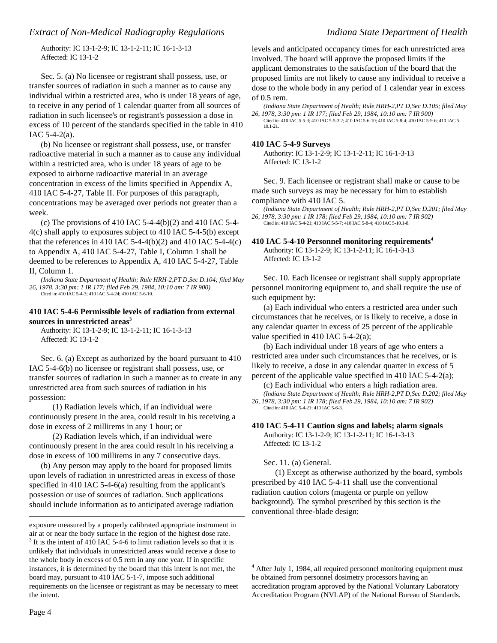Authority: IC 13-1-2-9; IC 13-1-2-11; IC 16-1-3-13 Affected: IC 13-1-2

Sec. 5. (a) No licensee or registrant shall possess, use, or transfer sources of radiation in such a manner as to cause any individual within a restricted area, who is under 18 years of age, to receive in any period of 1 calendar quarter from all sources of radiation in such licensee's or registrant's possession a dose in excess of 10 percent of the standards specified in the table in 410 IAC  $5-4-2(a)$ .

(b) No licensee or registrant shall possess, use, or transfer radioactive material in such a manner as to cause any individual within a restricted area, who is under 18 years of age to be exposed to airborne radioactive material in an average concentration in excess of the limits specified in Appendix A, 410 IAC 5-4-27, Table II. For purposes of this paragraph, concentrations may be averaged over periods not greater than a week.

(c) The provisions of 410 IAC 5-4-4(b)(2) and 410 IAC 5-4-4(c) shall apply to exposures subject to 410 IAC 5-4-5(b) except that the references in 410 IAC 5-4-4(b)(2) and 410 IAC 5-4-4(c) to Appendix A, 410 IAC 5-4-27, Table I, Column 1 shall be deemed to be references to Appendix A, 410 IAC 5-4-27, Table II, Column 1.

*(Indiana State Department of Health; Rule HRH-2,PT D,Sec D.104; filed May 26, 1978, 3:30 pm: 1 IR 177; filed Feb 29, 1984, 10:10 am: 7 IR 900)* Cited in: 410 IAC 5-4-3; 410 IAC 5-4-24; 410 IAC 5-6-10.

### **410 IAC 5-4-6 Permissible levels of radiation from external sources in unrestricted areas<sup>3</sup>**

Authority: IC 13-1-2-9; IC 13-1-2-11; IC 16-1-3-13 Affected: IC 13-1-2

Sec. 6. (a) Except as authorized by the board pursuant to 410 IAC 5-4-6(b) no licensee or registrant shall possess, use, or transfer sources of radiation in such a manner as to create in any unrestricted area from such sources of radiation in his possession:

(1) Radiation levels which, if an individual were continuously present in the area, could result in his receiving a dose in excess of 2 millirems in any 1 hour; or

(2) Radiation levels which, if an individual were continuously present in the area could result in his receiving a dose in excess of 100 millirems in any 7 consecutive days.

(b) Any person may apply to the board for proposed limits upon levels of radiation in unrestricted areas in excess of those specified in 410 IAC 5-4-6(a) resulting from the applicant's possession or use of sources of radiation. Such applications should include information as to anticipated average radiation

 $\overline{a}$ 

levels and anticipated occupancy times for each unrestricted area involved. The board will approve the proposed limits if the applicant demonstrates to the satisfaction of the board that the proposed limits are not likely to cause any individual to receive a dose to the whole body in any period of 1 calendar year in excess of 0.5 rem.

*(Indiana State Department of Health; Rule HRH-2,PT D,Sec D.105; filed May 26, 1978, 3:30 pm: 1 IR 177; filed Feb 29, 1984, 10:10 am: 7 IR 900)*

Cited in: 410 IAC 5-5-3; 410 IAC 5-5-3.2; 410 IAC 5-6-10; 410 IAC 5-8-4; 410 IAC 5-9-6; 410 IAC 5- 10.1-21.

### **410 IAC 5-4-9 Surveys**

Authority: IC 13-1-2-9; IC 13-1-2-11; IC 16-1-3-13 Affected: IC 13-1-2

Sec. 9. Each licensee or registrant shall make or cause to be made such surveys as may be necessary for him to establish compliance with 410 IAC 5.

*(Indiana State Department of Health; Rule HRH-2,PT D,Sec D.201; filed May 26, 1978, 3:30 pm: 1 IR 178; filed Feb 29, 1984, 10:10 am: 7 IR 902)* Cited in: 410 IAC 5-4-21; 410 IAC 5-5-7; 410 IAC 5-8-4; 410 IAC 5-10.1-8.

### **410 IAC 5-4-10 Personnel monitoring requirements<sup>4</sup>** Authority: IC 13-1-2-9; IC 13-1-2-11; IC 16-1-3-13 Affected: IC 13-1-2

Sec. 10. Each licensee or registrant shall supply appropriate personnel monitoring equipment to, and shall require the use of such equipment by:

(a) Each individual who enters a restricted area under such circumstances that he receives, or is likely to receive, a dose in any calendar quarter in excess of 25 percent of the applicable value specified in 410 IAC 5-4-2(a);

(b) Each individual under 18 years of age who enters a restricted area under such circumstances that he receives, or is likely to receive, a dose in any calendar quarter in excess of 5 percent of the applicable value specified in 410 IAC 5-4-2(a);

(c) Each individual who enters a high radiation area. *(Indiana State Department of Health; Rule HRH-2,PT D,Sec D.202; filed May 26, 1978, 3:30 pm: 1 IR 178; filed Feb 29, 1984, 10:10 am: 7 IR 902)*

Cited in: 410 IAC 5-4-21; 410 IAC 5-6-3.

### **410 IAC 5-4-11 Caution signs and labels; alarm signals**

Authority: IC 13-1-2-9; IC 13-1-2-11; IC 16-1-3-13 Affected: IC 13-1-2

Sec. 11. (a) General.

-

(1) Except as otherwise authorized by the board, symbols prescribed by 410 IAC 5-4-11 shall use the conventional radiation caution colors (magenta or purple on yellow background). The symbol prescribed by this section is the conventional three-blade design:

exposure measured by a properly calibrated appropriate instrument in air at or near the body surface in the region of the highest dose rate.  $3$  It is the intent of 410 IAC 5-4-6 to limit radiation levels so that it is unlikely that individuals in unrestricted areas would receive a dose to the whole body in excess of 0.5 rem in any one year. If in specific instances, it is determined by the board that this intent is not met, the board may, pursuant to 410 IAC 5-1-7, impose such additional requirements on the licensee or registrant as may be necessary to meet the intent.

<sup>&</sup>lt;sup>4</sup> After July 1, 1984, all required personnel monitoring equipment must be obtained from personnel dosimetry processors having an accreditation program approved by the National Voluntary Laboratory Accreditation Program (NVLAP) of the National Bureau of Standards.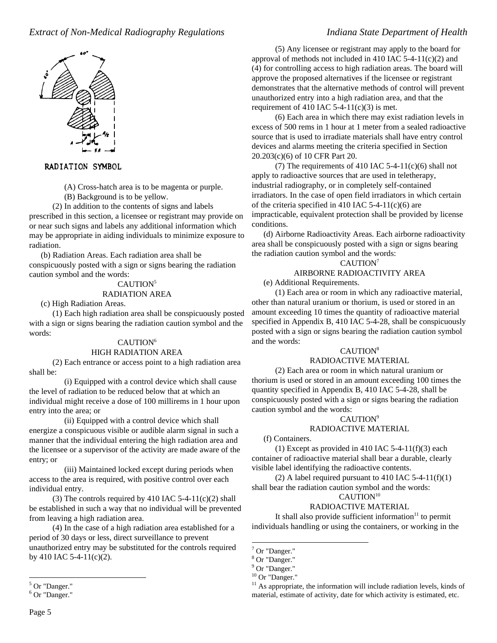

### RADIATION SYMBOL

(A) Cross-hatch area is to be magenta or purple.

(B) Background is to be yellow.

(2) In addition to the contents of signs and labels prescribed in this section, a licensee or registrant may provide on or near such signs and labels any additional information which may be appropriate in aiding individuals to minimize exposure to radiation.

(b) Radiation Areas. Each radiation area shall be conspicuously posted with a sign or signs bearing the radiation caution symbol and the words:

## CAUTION<sup>5</sup>

### RADIATION AREA

(c) High Radiation Areas.

(1) Each high radiation area shall be conspicuously posted with a sign or signs bearing the radiation caution symbol and the words:

### CAUTION<sup>6</sup>

### HIGH RADIATION AREA

(2) Each entrance or access point to a high radiation area shall be:

(i) Equipped with a control device which shall cause the level of radiation to be reduced below that at which an individual might receive a dose of 100 millirems in 1 hour upon entry into the area; or

(ii) Equipped with a control device which shall energize a conspicuous visible or audible alarm signal in such a manner that the individual entering the high radiation area and the licensee or a supervisor of the activity are made aware of the entry; or

(iii) Maintained locked except during periods when access to the area is required, with positive control over each individual entry.

(3) The controls required by 410 IAC  $5-4-11(c)(2)$  shall be established in such a way that no individual will be prevented from leaving a high radiation area.

(4) In the case of a high radiation area established for a period of 30 days or less, direct surveillance to prevent unauthorized entry may be substituted for the controls required by 410 IAC 5-4-11(c)(2).

(5) Any licensee or registrant may apply to the board for approval of methods not included in 410 IAC  $5-4-11(c)(2)$  and (4) for controlling access to high radiation areas. The board will approve the proposed alternatives if the licensee or registrant demonstrates that the alternative methods of control will prevent unauthorized entry into a high radiation area, and that the requirement of 410 IAC 5-4-11(c)(3) is met.

(6) Each area in which there may exist radiation levels in excess of 500 rems in 1 hour at 1 meter from a sealed radioactive source that is used to irradiate materials shall have entry control devices and alarms meeting the criteria specified in Section 20.203(c)(6) of 10 CFR Part 20.

(7) The requirements of 410 IAC 5-4-11(c)(6) shall not apply to radioactive sources that are used in teletherapy, industrial radiography, or in completely self-contained irradiators. In the case of open field irradiators in which certain of the criteria specified in 410 IAC 5-4-11(c)(6) are impracticable, equivalent protection shall be provided by license conditions.

(d) Airborne Radioactivity Areas. Each airborne radioactivity area shall be conspicuously posted with a sign or signs bearing the radiation caution symbol and the words:

CAUTION<sup>7</sup>

# AIRBORNE RADIOACTIVITY AREA

(e) Additional Requirements.

(1) Each area or room in which any radioactive material, other than natural uranium or thorium, is used or stored in an amount exceeding 10 times the quantity of radioactive material specified in Appendix B, 410 IAC 5-4-28, shall be conspicuously posted with a sign or signs bearing the radiation caution symbol and the words:

# CAUTION<sup>8</sup>

# RADIOACTIVE MATERIAL

(2) Each area or room in which natural uranium or thorium is used or stored in an amount exceeding 100 times the quantity specified in Appendix B, 410 IAC 5-4-28, shall be conspicuously posted with a sign or signs bearing the radiation caution symbol and the words:

### CAUTION<sup>9</sup>

### RADIOACTIVE MATERIAL

### (f) Containers.

(1) Except as provided in 410 IAC  $5-4-11(f)(3)$  each container of radioactive material shall bear a durable, clearly visible label identifying the radioactive contents.

(2) A label required pursuant to 410 IAC 5-4-11(f)(1) shall bear the radiation caution symbol and the words:

# CAUTION<sup>10</sup>

# RADIOACTIVE MATERIAL

It shall also provide sufficient information $11$  to permit individuals handling or using the containers, or working in the

1

<sup>&</sup>lt;sup>5</sup> Or "Danger."

<sup>&</sup>lt;sup>6</sup> Or "Danger."

<sup>&</sup>lt;sup>7</sup> Or "Danger."

<sup>8</sup> Or "Danger."

<sup>&</sup>lt;sup>9</sup> Or "Danger."

 $10$  Or "Danger."

 $11$  As appropriate, the information will include radiation levels, kinds of material, estimate of activity, date for which activity is estimated, etc.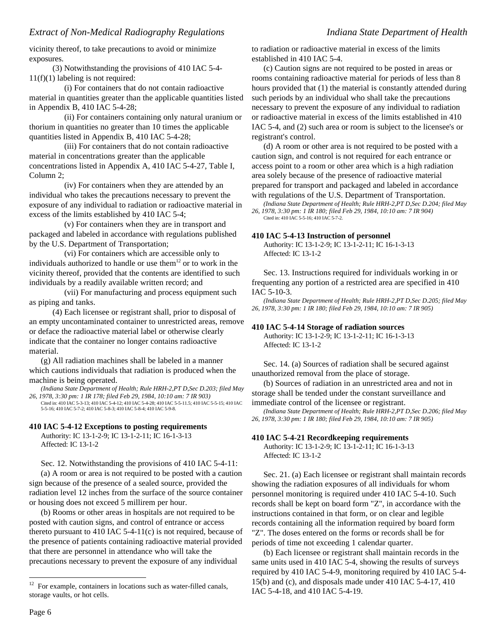vicinity thereof, to take precautions to avoid or minimize exposures.

(3) Notwithstanding the provisions of 410 IAC 5-4- 11(f)(1) labeling is not required:

(i) For containers that do not contain radioactive material in quantities greater than the applicable quantities listed in Appendix B, 410 IAC 5-4-28;

(ii) For containers containing only natural uranium or thorium in quantities no greater than 10 times the applicable quantities listed in Appendix B, 410 IAC 5-4-28;

(iii) For containers that do not contain radioactive material in concentrations greater than the applicable concentrations listed in Appendix A, 410 IAC 5-4-27, Table I, Column 2;

(iv) For containers when they are attended by an individual who takes the precautions necessary to prevent the exposure of any individual to radiation or radioactive material in excess of the limits established by 410 IAC 5-4;

(v) For containers when they are in transport and packaged and labeled in accordance with regulations published by the U.S. Department of Transportation;

(vi) For containers which are accessible only to individuals authorized to handle or use them $12$  or to work in the vicinity thereof, provided that the contents are identified to such individuals by a readily available written record; and

(vii) For manufacturing and process equipment such as piping and tanks.

(4) Each licensee or registrant shall, prior to disposal of an empty uncontaminated container to unrestricted areas, remove or deface the radioactive material label or otherwise clearly indicate that the container no longer contains radioactive material.

(g) All radiation machines shall be labeled in a manner which cautions individuals that radiation is produced when the machine is being operated.

*(Indiana State Department of Health; Rule HRH-2,PT D,Sec D.203; filed May 26, 1978, 3:30 pm: 1 IR 178; filed Feb 29, 1984, 10:10 am: 7 IR 903)*

Cited in: 410 IAC 5-3-13; 410 IAC 5-4-12; 410 IAC 5-4-28; 410 IAC 5-5-11.5; 410 IAC 5-5-15; 410 IAC 5-5-16; 410 IAC 5-7-2; 410 IAC 5-8-3; 410 IAC 5-8-4; 410 IAC 5-9-8.

### **410 IAC 5-4-12 Exceptions to posting requirements**

Authority: IC 13-1-2-9; IC 13-1-2-11; IC 16-1-3-13 Affected: IC 13-1-2

Sec. 12. Notwithstanding the provisions of 410 IAC 5-4-11: (a) A room or area is not required to be posted with a caution sign because of the presence of a sealed source, provided the radiation level 12 inches from the surface of the source container or housing does not exceed 5 millirem per hour.

(b) Rooms or other areas in hospitals are not required to be posted with caution signs, and control of entrance or access thereto pursuant to 410 IAC 5-4-11(c) is not required, because of the presence of patients containing radioactive material provided that there are personnel in attendance who will take the precautions necessary to prevent the exposure of any individual

to radiation or radioactive material in excess of the limits established in 410 IAC 5-4.

(c) Caution signs are not required to be posted in areas or rooms containing radioactive material for periods of less than 8 hours provided that (1) the material is constantly attended during such periods by an individual who shall take the precautions necessary to prevent the exposure of any individual to radiation or radioactive material in excess of the limits established in 410 IAC 5-4, and (2) such area or room is subject to the licensee's or registrant's control.

(d) A room or other area is not required to be posted with a caution sign, and control is not required for each entrance or access point to a room or other area which is a high radiation area solely because of the presence of radioactive material prepared for transport and packaged and labeled in accordance with regulations of the U.S. Department of Transportation.

*(Indiana State Department of Health; Rule HRH-2,PT D,Sec D.204; filed May 26, 1978, 3:30 pm: 1 IR 180; filed Feb 29, 1984, 10:10 am: 7 IR 904)* Cited in: 410 IAC 5-5-16; 410 IAC 5-7-2.

### **410 IAC 5-4-13 Instruction of personnel**

Authority: IC 13-1-2-9; IC 13-1-2-11; IC 16-1-3-13 Affected: IC 13-1-2

Sec. 13. Instructions required for individuals working in or frequenting any portion of a restricted area are specified in 410 IAC 5-10-3.

*(Indiana State Department of Health; Rule HRH-2,PT D,Sec D.205; filed May 26, 1978, 3:30 pm: 1 IR 180; filed Feb 29, 1984, 10:10 am: 7 IR 905)*

## **410 IAC 5-4-14 Storage of radiation sources**

Authority: IC 13-1-2-9; IC 13-1-2-11; IC 16-1-3-13 Affected: IC 13-1-2

Sec. 14. (a) Sources of radiation shall be secured against unauthorized removal from the place of storage.

(b) Sources of radiation in an unrestricted area and not in storage shall be tended under the constant surveillance and immediate control of the licensee or registrant.

*(Indiana State Department of Health; Rule HRH-2,PT D,Sec D.206; filed May 26, 1978, 3:30 pm: 1 IR 180; filed Feb 29, 1984, 10:10 am: 7 IR 905)*

## **410 IAC 5-4-21 Recordkeeping requirements**

Authority: IC 13-1-2-9; IC 13-1-2-11; IC 16-1-3-13 Affected: IC 13-1-2

Sec. 21. (a) Each licensee or registrant shall maintain records showing the radiation exposures of all individuals for whom personnel monitoring is required under 410 IAC 5-4-10. Such records shall be kept on board form "Z", in accordance with the instructions contained in that form, or on clear and legible records containing all the information required by board form "Z". The doses entered on the forms or records shall be for periods of time not exceeding 1 calendar quarter.

(b) Each licensee or registrant shall maintain records in the same units used in 410 IAC 5-4, showing the results of surveys required by 410 IAC 5-4-9, monitoring required by 410 IAC 5-4- 15(b) and (c), and disposals made under 410 IAC 5-4-17, 410 IAC 5-4-18, and 410 IAC 5-4-19.

<sup>12</sup> <sup>12</sup> For example, containers in locations such as water-filled canals, storage vaults, or hot cells.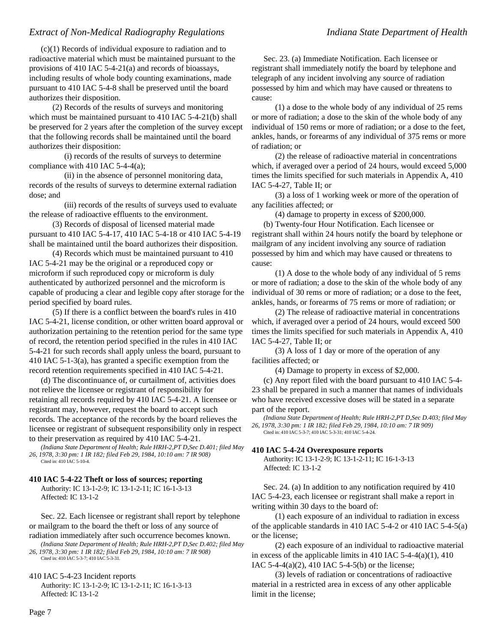(c)(1) Records of individual exposure to radiation and to radioactive material which must be maintained pursuant to the provisions of 410 IAC 5-4-21(a) and records of bioassays, including results of whole body counting examinations, made pursuant to 410 IAC 5-4-8 shall be preserved until the board authorizes their disposition.

(2) Records of the results of surveys and monitoring which must be maintained pursuant to 410 IAC 5-4-21(b) shall be preserved for 2 years after the completion of the survey except that the following records shall be maintained until the board authorizes their disposition:

(i) records of the results of surveys to determine compliance with 410 IAC 5-4-4(a);

(ii) in the absence of personnel monitoring data, records of the results of surveys to determine external radiation dose; and

(iii) records of the results of surveys used to evaluate the release of radioactive effluents to the environment.

(3) Records of disposal of licensed material made pursuant to 410 IAC 5-4-17, 410 IAC 5-4-18 or 410 IAC 5-4-19 shall be maintained until the board authorizes their disposition.

(4) Records which must be maintained pursuant to 410 IAC 5-4-21 may be the original or a reproduced copy or microform if such reproduced copy or microform is duly authenticated by authorized personnel and the microform is capable of producing a clear and legible copy after storage for the period specified by board rules.

(5) If there is a conflict between the board's rules in 410 IAC 5-4-21, license condition, or other written board approval or authorization pertaining to the retention period for the same type of record, the retention period specified in the rules in 410 IAC 5-4-21 for such records shall apply unless the board, pursuant to 410 IAC 5-1-3(a), has granted a specific exemption from the record retention requirements specified in 410 IAC 5-4-21.

(d) The discontinuance of, or curtailment of, activities does not relieve the licensee or registrant of responsibility for retaining all records required by 410 IAC 5-4-21. A licensee or registrant may, however, request the board to accept such records. The acceptance of the records by the board relieves the licensee or registrant of subsequent responsibility only in respect to their preservation as required by 410 IAC 5-4-21.

*(Indiana State Department of Health; Rule HRH-2,PT D,Sec D.401; filed May 26, 1978, 3:30 pm: 1 IR 182; filed Feb 29, 1984, 10:10 am: 7 IR 908)* Cited in: 410 IAC 5-10-4.

### **410 IAC 5-4-22 Theft or loss of sources; reporting**

Authority: IC 13-1-2-9; IC 13-1-2-11; IC 16-1-3-13 Affected: IC 13-1-2

Sec. 22. Each licensee or registrant shall report by telephone or mailgram to the board the theft or loss of any source of radiation immediately after such occurrence becomes known.

*(Indiana State Department of Health; Rule HRH-2,PT D,Sec D.402; filed May 26, 1978, 3:30 pm: 1 IR 182; filed Feb 29, 1984, 10:10 am: 7 IR 908)*

Cited in: 410 IAC 5-3-7; 410 IAC 5-3-31.

410 IAC 5-4-23 Incident reports

Authority: IC 13-1-2-9; IC 13-1-2-11; IC 16-1-3-13 Affected: IC 13-1-2

Sec. 23. (a) Immediate Notification. Each licensee or registrant shall immediately notify the board by telephone and telegraph of any incident involving any source of radiation possessed by him and which may have caused or threatens to cause:

(1) a dose to the whole body of any individual of 25 rems or more of radiation; a dose to the skin of the whole body of any individual of 150 rems or more of radiation; or a dose to the feet, ankles, hands, or forearms of any individual of 375 rems or more of radiation; or

(2) the release of radioactive material in concentrations which, if averaged over a period of 24 hours, would exceed 5,000 times the limits specified for such materials in Appendix A, 410 IAC 5-4-27, Table II; or

(3) a loss of 1 working week or more of the operation of any facilities affected; or

(4) damage to property in excess of \$200,000.

(b) Twenty-four Hour Notification. Each licensee or registrant shall within 24 hours notify the board by telephone or mailgram of any incident involving any source of radiation possessed by him and which may have caused or threatens to cause:

(1) A dose to the whole body of any individual of 5 rems or more of radiation; a dose to the skin of the whole body of any individual of 30 rems or more of radiation; or a dose to the feet, ankles, hands, or forearms of 75 rems or more of radiation; or

(2) The release of radioactive material in concentrations which, if averaged over a period of 24 hours, would exceed 500 times the limits specified for such materials in Appendix A, 410 IAC 5-4-27, Table II; or

(3) A loss of 1 day or more of the operation of any facilities affected; or

(4) Damage to property in excess of \$2,000.

(c) Any report filed with the board pursuant to 410 IAC 5-4- 23 shall be prepared in such a manner that names of individuals who have received excessive doses will be stated in a separate part of the report.

*(Indiana State Department of Health; Rule HRH-2,PT D,Sec D.403; filed May 26, 1978, 3:30 pm: 1 IR 182; filed Feb 29, 1984, 10:10 am: 7 IR 909)* Cited in: 410 IAC 5-3-7; 410 IAC 5-3-31; 410 IAC 5-4-24.

### **410 IAC 5-4-24 Overexposure reports**

Authority: IC 13-1-2-9; IC 13-1-2-11; IC 16-1-3-13 Affected: IC 13-1-2

Sec. 24. (a) In addition to any notification required by 410 IAC 5-4-23, each licensee or registrant shall make a report in writing within 30 days to the board of:

(1) each exposure of an individual to radiation in excess of the applicable standards in 410 IAC 5-4-2 or 410 IAC 5-4-5(a) or the license;

(2) each exposure of an individual to radioactive material in excess of the applicable limits in 410 IAC 5-4-4(a)(1), 410 IAC 5-4-4(a)(2), 410 IAC 5-4-5(b) or the license;

(3) levels of radiation or concentrations of radioactive material in a restricted area in excess of any other applicable limit in the license;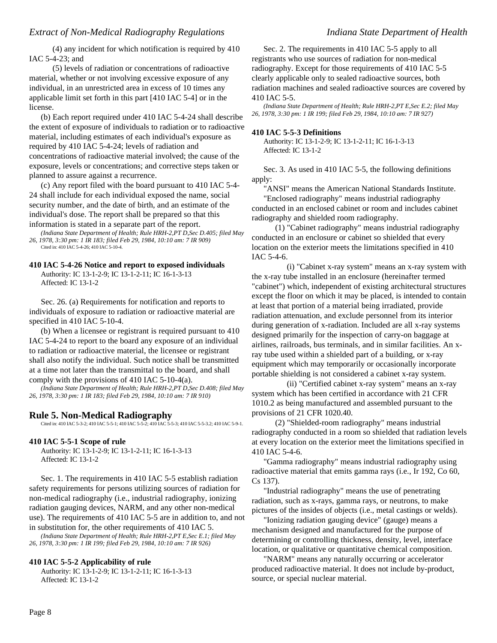(4) any incident for which notification is required by 410 IAC 5-4-23; and

(5) levels of radiation or concentrations of radioactive material, whether or not involving excessive exposure of any individual, in an unrestricted area in excess of 10 times any applicable limit set forth in this part [410 IAC 5-4] or in the license.

(b) Each report required under 410 IAC 5-4-24 shall describe the extent of exposure of individuals to radiation or to radioactive material, including estimates of each individual's exposure as required by 410 IAC 5-4-24; levels of radiation and concentrations of radioactive material involved; the cause of the exposure, levels or concentrations; and corrective steps taken or planned to assure against a recurrence.

(c) Any report filed with the board pursuant to 410 IAC 5-4- 24 shall include for each individual exposed the name, social security number, and the date of birth, and an estimate of the individual's dose. The report shall be prepared so that this information is stated in a separate part of the report.

*(Indiana State Department of Health; Rule HRH-2,PT D,Sec D.405; filed May 26, 1978, 3:30 pm: 1 IR 183; filed Feb 29, 1984, 10:10 am: 7 IR 909)* Cited in: 410 IAC 5-4-26; 410 IAC 5-10-4.

### **410 IAC 5-4-26 Notice and report to exposed individuals**

Authority: IC 13-1-2-9; IC 13-1-2-11; IC 16-1-3-13 Affected: IC 13-1-2

Sec. 26. (a) Requirements for notification and reports to individuals of exposure to radiation or radioactive material are specified in 410 IAC 5-10-4.

(b) When a licensee or registrant is required pursuant to 410 IAC 5-4-24 to report to the board any exposure of an individual to radiation or radioactive material, the licensee or registrant shall also notify the individual. Such notice shall be transmitted at a time not later than the transmittal to the board, and shall comply with the provisions of 410 IAC 5-10-4(a).

*(Indiana State Department of Health; Rule HRH-2,PT D,Sec D.408; filed May 26, 1978, 3:30 pm: 1 IR 183; filed Feb 29, 1984, 10:10 am: 7 IR 910)*

## **Rule 5. Non-Medical Radiography**

Cited in: 410 IAC 5-3-2; 410 IAC 5-5-1; 410 IAC 5-5-2; 410 IAC 5-5-3; 410 IAC 5-5-3.2; 410 IAC 5-9-1.

### **410 IAC 5-5-1 Scope of rule**

Authority: IC 13-1-2-9; IC 13-1-2-11; IC 16-1-3-13 Affected: IC 13-1-2

Sec. 1. The requirements in 410 IAC 5-5 establish radiation safety requirements for persons utilizing sources of radiation for non-medical radiography (i.e., industrial radiography, ionizing radiation gauging devices, NARM, and any other non-medical use). The requirements of 410 IAC 5-5 are in addition to, and not in substitution for, the other requirements of 410 IAC 5.

*(Indiana State Department of Health; Rule HRH-2,PT E,Sec E.1; filed May 26, 1978, 3:30 pm: 1 IR 199; filed Feb 29, 1984, 10:10 am: 7 IR 926)*

### **410 IAC 5-5-2 Applicability of rule**

Authority: IC 13-1-2-9; IC 13-1-2-11; IC 16-1-3-13 Affected: IC 13-1-2

Sec. 2. The requirements in 410 IAC 5-5 apply to all registrants who use sources of radiation for non-medical radiography. Except for those requirements of 410 IAC 5-5 clearly applicable only to sealed radioactive sources, both radiation machines and sealed radioactive sources are covered by 410 IAC 5-5.

*(Indiana State Department of Health; Rule HRH-2,PT E,Sec E.2; filed May 26, 1978, 3:30 pm: 1 IR 199; filed Feb 29, 1984, 10:10 am: 7 IR 927)*

### **410 IAC 5-5-3 Definitions**

Authority: IC 13-1-2-9; IC 13-1-2-11; IC 16-1-3-13 Affected: IC 13-1-2

Sec. 3. As used in 410 IAC 5-5, the following definitions apply:

"ANSI" means the American National Standards Institute. "Enclosed radiography" means industrial radiography conducted in an enclosed cabinet or room and includes cabinet radiography and shielded room radiography.

(1) "Cabinet radiography" means industrial radiography conducted in an enclosure or cabinet so shielded that every location on the exterior meets the limitations specified in 410 IAC 5-4-6.

(i) "Cabinet x-ray system" means an x-ray system with the x-ray tube installed in an enclosure (hereinafter termed "cabinet") which, independent of existing architectural structures except the floor on which it may be placed, is intended to contain at least that portion of a material being irradiated, provide radiation attenuation, and exclude personnel from its interior during generation of x-radiation. Included are all x-ray systems designed primarily for the inspection of carry-on baggage at airlines, railroads, bus terminals, and in similar facilities. An xray tube used within a shielded part of a building, or x-ray equipment which may temporarily or occasionally incorporate portable shielding is not considered a cabinet x-ray system.

(ii) "Certified cabinet x-ray system" means an x-ray system which has been certified in accordance with 21 CFR 1010.2 as being manufactured and assembled pursuant to the provisions of 21 CFR 1020.40.

(2) "Shielded-room radiography" means industrial radiography conducted in a room so shielded that radiation levels at every location on the exterior meet the limitations specified in 410 IAC 5-4-6.

"Gamma radiography" means industrial radiography using radioactive material that emits gamma rays (i.e., Ir 192, Co 60, Cs 137).

"Industrial radiography" means the use of penetrating radiation, such as x-rays, gamma rays, or neutrons, to make pictures of the insides of objects (i.e., metal castings or welds).

"Ionizing radiation gauging device" (gauge) means a mechanism designed and manufactured for the purpose of determining or controlling thickness, density, level, interface location, or qualitative or quantitative chemical composition.

"NARM" means any naturally occurring or accelerator produced radioactive material. It does not include by-product, source, or special nuclear material.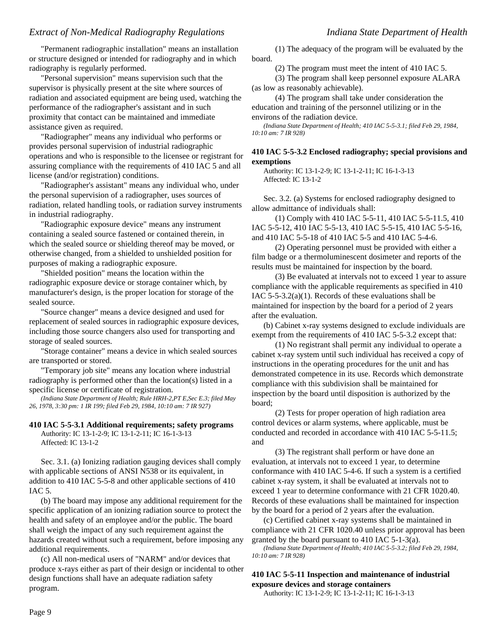"Permanent radiographic installation" means an installation or structure designed or intended for radiography and in which radiography is regularly performed.

"Personal supervision" means supervision such that the supervisor is physically present at the site where sources of radiation and associated equipment are being used, watching the performance of the radiographer's assistant and in such proximity that contact can be maintained and immediate assistance given as required.

"Radiographer" means any individual who performs or provides personal supervision of industrial radiographic operations and who is responsible to the licensee or registrant for assuring compliance with the requirements of 410 IAC 5 and all license (and/or registration) conditions.

"Radiographer's assistant" means any individual who, under the personal supervision of a radiographer, uses sources of radiation, related handling tools, or radiation survey instruments in industrial radiography.

"Radiographic exposure device" means any instrument containing a sealed source fastened or contained therein, in which the sealed source or shielding thereof may be moved, or otherwise changed, from a shielded to unshielded position for purposes of making a radiographic exposure.

"Shielded position" means the location within the radiographic exposure device or storage container which, by manufacturer's design, is the proper location for storage of the sealed source.

"Source changer" means a device designed and used for replacement of sealed sources in radiographic exposure devices, including those source changers also used for transporting and storage of sealed sources.

"Storage container" means a device in which sealed sources are transported or stored.

"Temporary job site" means any location where industrial radiography is performed other than the location(s) listed in a specific license or certificate of registration.

*(Indiana State Department of Health; Rule HRH-2,PT E,Sec E.3; filed May 26, 1978, 3:30 pm: 1 IR 199; filed Feb 29, 1984, 10:10 am: 7 IR 927)*

## **410 IAC 5-5-3.1 Additional requirements; safety programs**

Authority: IC 13-1-2-9; IC 13-1-2-11; IC 16-1-3-13 Affected: IC 13-1-2

Sec. 3.1. (a) Ionizing radiation gauging devices shall comply with applicable sections of ANSI N538 or its equivalent, in addition to 410 IAC 5-5-8 and other applicable sections of 410 IAC 5.

(b) The board may impose any additional requirement for the specific application of an ionizing radiation source to protect the health and safety of an employee and/or the public. The board shall weigh the impact of any such requirement against the hazards created without such a requirement, before imposing any additional requirements.

(c) All non-medical users of "NARM" and/or devices that produce x-rays either as part of their design or incidental to other design functions shall have an adequate radiation safety program.

(1) The adequacy of the program will be evaluated by the board.

(2) The program must meet the intent of 410 IAC 5.

(3) The program shall keep personnel exposure ALARA (as low as reasonably achievable).

(4) The program shall take under consideration the education and training of the personnel utilizing or in the environs of the radiation device.

*(Indiana State Department of Health; 410 IAC 5-5-3.1; filed Feb 29, 1984, 10:10 am: 7 IR 928)*

# **410 IAC 5-5-3.2 Enclosed radiography; special provisions and exemptions**

Authority: IC 13-1-2-9; IC 13-1-2-11; IC 16-1-3-13 Affected: IC 13-1-2

Sec. 3.2. (a) Systems for enclosed radiography designed to allow admittance of individuals shall:

(1) Comply with 410 IAC 5-5-11, 410 IAC 5-5-11.5, 410 IAC 5-5-12, 410 IAC 5-5-13, 410 IAC 5-5-15, 410 IAC 5-5-16, and 410 IAC 5-5-18 of 410 IAC 5-5 and 410 IAC 5-4-6.

(2) Operating personnel must be provided with either a film badge or a thermoluminescent dosimeter and reports of the results must be maintained for inspection by the board.

(3) Be evaluated at intervals not to exceed 1 year to assure compliance with the applicable requirements as specified in 410 IAC  $5-5-3.2(a)(1)$ . Records of these evaluations shall be maintained for inspection by the board for a period of 2 years after the evaluation.

(b) Cabinet x-ray systems designed to exclude individuals are exempt from the requirements of 410 IAC 5-5-3.2 except that:

(1) No registrant shall permit any individual to operate a cabinet x-ray system until such individual has received a copy of instructions in the operating procedures for the unit and has demonstrated competence in its use. Records which demonstrate compliance with this subdivision shall be maintained for inspection by the board until disposition is authorized by the board;

(2) Tests for proper operation of high radiation area control devices or alarm systems, where applicable, must be conducted and recorded in accordance with 410 IAC 5-5-11.5; and

(3) The registrant shall perform or have done an evaluation, at intervals not to exceed 1 year, to determine conformance with 410 IAC 5-4-6. If such a system is a certified cabinet x-ray system, it shall be evaluated at intervals not to exceed 1 year to determine conformance with 21 CFR 1020.40. Records of these evaluations shall be maintained for inspection by the board for a period of 2 years after the evaluation.

(c) Certified cabinet x-ray systems shall be maintained in compliance with 21 CFR 1020.40 unless prior approval has been granted by the board pursuant to 410 IAC 5-1-3(a).

*(Indiana State Department of Health; 410 IAC 5-5-3.2; filed Feb 29, 1984, 10:10 am: 7 IR 928)*

# **410 IAC 5-5-11 Inspection and maintenance of industrial exposure devices and storage containers**

Authority: IC 13-1-2-9; IC 13-1-2-11; IC 16-1-3-13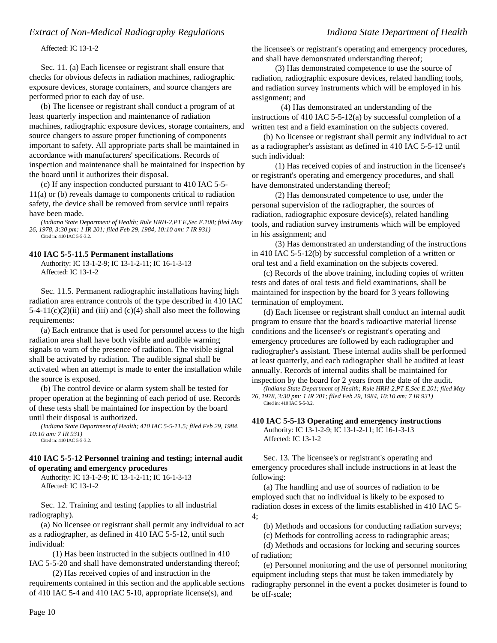Affected: IC 13-1-2

Sec. 11. (a) Each licensee or registrant shall ensure that checks for obvious defects in radiation machines, radiographic exposure devices, storage containers, and source changers are performed prior to each day of use.

(b) The licensee or registrant shall conduct a program of at least quarterly inspection and maintenance of radiation machines, radiographic exposure devices, storage containers, and source changers to assure proper functioning of components important to safety. All appropriate parts shall be maintained in accordance with manufacturers' specifications. Records of inspection and maintenance shall be maintained for inspection by the board until it authorizes their disposal.

(c) If any inspection conducted pursuant to 410 IAC 5-5- 11(a) or (b) reveals damage to components critical to radiation safety, the device shall be removed from service until repairs have been made.

*(Indiana State Department of Health; Rule HRH-2,PT E,Sec E.108; filed May 26, 1978, 3:30 pm: 1 IR 201; filed Feb 29, 1984, 10:10 am: 7 IR 931)* Cited in: 410 IAC 5-5-3.2.

### **410 IAC 5-5-11.5 Permanent installations**

Authority: IC 13-1-2-9; IC 13-1-2-11; IC 16-1-3-13 Affected: IC 13-1-2

Sec. 11.5. Permanent radiographic installations having high radiation area entrance controls of the type described in 410 IAC  $5-4-11(c)(2)(ii)$  and (iii) and (c)(4) shall also meet the following requirements:

(a) Each entrance that is used for personnel access to the high radiation area shall have both visible and audible warning signals to warn of the presence of radiation. The visible signal shall be activated by radiation. The audible signal shall be activated when an attempt is made to enter the installation while the source is exposed.

(b) The control device or alarm system shall be tested for proper operation at the beginning of each period of use. Records of these tests shall be maintained for inspection by the board until their disposal is authorized.

*(Indiana State Department of Health; 410 IAC 5-5-11.5; filed Feb 29, 1984, 10:10 am: 7 IR 931)* Cited in: 410 IAC 5-5-3.2.

### **410 IAC 5-5-12 Personnel training and testing; internal audit of operating and emergency procedures**

Authority: IC 13-1-2-9; IC 13-1-2-11; IC 16-1-3-13 Affected: IC 13-1-2

Sec. 12. Training and testing (applies to all industrial radiography).

(a) No licensee or registrant shall permit any individual to act as a radiographer, as defined in 410 IAC 5-5-12, until such individual:

(1) Has been instructed in the subjects outlined in 410 IAC 5-5-20 and shall have demonstrated understanding thereof;

(2) Has received copies of and instruction in the requirements contained in this section and the applicable sections of 410 IAC 5-4 and 410 IAC 5-10, appropriate license(s), and

the licensee's or registrant's operating and emergency procedures, and shall have demonstrated understanding thereof;

(3) Has demonstrated competence to use the source of radiation, radiographic exposure devices, related handling tools, and radiation survey instruments which will be employed in his assignment; and

(4) Has demonstrated an understanding of the instructions of 410 IAC 5-5-12(a) by successful completion of a written test and a field examination on the subjects covered.

(b) No licensee or registrant shall permit any individual to act as a radiographer's assistant as defined in 410 IAC 5-5-12 until such individual:

(1) Has received copies of and instruction in the licensee's or registrant's operating and emergency procedures, and shall have demonstrated understanding thereof;

(2) Has demonstrated competence to use, under the personal supervision of the radiographer, the sources of radiation, radiographic exposure device(s), related handling tools, and radiation survey instruments which will be employed in his assignment; and

(3) Has demonstrated an understanding of the instructions in 410 IAC 5-5-12(b) by successful completion of a written or oral test and a field examination on the subjects covered.

(c) Records of the above training, including copies of written tests and dates of oral tests and field examinations, shall be maintained for inspection by the board for 3 years following termination of employment.

(d) Each licensee or registrant shall conduct an internal audit program to ensure that the board's radioactive material license conditions and the licensee's or registrant's operating and emergency procedures are followed by each radiographer and radiographer's assistant. These internal audits shall be performed at least quarterly, and each radiographer shall be audited at least annually. Records of internal audits shall be maintained for inspection by the board for 2 years from the date of the audit.

*(Indiana State Department of Health; Rule HRH-2,PT E,Sec E.201; filed May 26, 1978, 3:30 pm: 1 IR 201; filed Feb 29, 1984, 10:10 am: 7 IR 931)* Cited in: 410 IAC 5-5-3.2.

### **410 IAC 5-5-13 Operating and emergency instructions**

Authority: IC 13-1-2-9; IC 13-1-2-11; IC 16-1-3-13 Affected: IC 13-1-2

Sec. 13. The licensee's or registrant's operating and emergency procedures shall include instructions in at least the following:

(a) The handling and use of sources of radiation to be employed such that no individual is likely to be exposed to radiation doses in excess of the limits established in 410 IAC 5- 4;

(b) Methods and occasions for conducting radiation surveys;

(c) Methods for controlling access to radiographic areas;

(d) Methods and occasions for locking and securing sources of radiation;

(e) Personnel monitoring and the use of personnel monitoring equipment including steps that must be taken immediately by radiography personnel in the event a pocket dosimeter is found to be off-scale;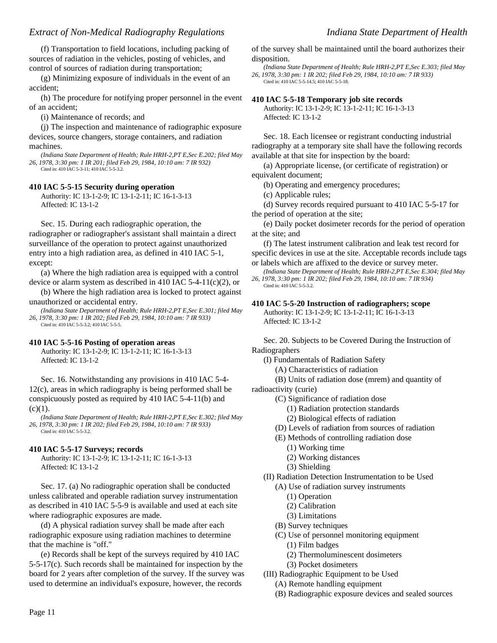(f) Transportation to field locations, including packing of sources of radiation in the vehicles, posting of vehicles, and control of sources of radiation during transportation;

(g) Minimizing exposure of individuals in the event of an accident;

(h) The procedure for notifying proper personnel in the event of an accident;

(i) Maintenance of records; and

(j) The inspection and maintenance of radiographic exposure devices, source changers, storage containers, and radiation machines.

*(Indiana State Department of Health; Rule HRH-2,PT E,Sec E.202; filed May 26, 1978, 3:30 pm: 1 IR 201; filed Feb 29, 1984, 10:10 am: 7 IR 932)* Cited in: 410 IAC 5-3-11; 410 IAC 5-5-3.2.

### **410 IAC 5-5-15 Security during operation**

Authority: IC 13-1-2-9; IC 13-1-2-11; IC 16-1-3-13 Affected: IC 13-1-2

Sec. 15. During each radiographic operation, the radiographer or radiographer's assistant shall maintain a direct surveillance of the operation to protect against unauthorized entry into a high radiation area, as defined in 410 IAC 5-1, except:

(a) Where the high radiation area is equipped with a control device or alarm system as described in 410 IAC 5-4-11(c)(2), or

(b) Where the high radiation area is locked to protect against unauthorized or accidental entry.

*(Indiana State Department of Health; Rule HRH-2,PT E,Sec E.301; filed May 26, 1978, 3:30 pm: 1 IR 202; filed Feb 29, 1984, 10:10 am: 7 IR 933)* Cited in: 410 IAC 5-5-3.2; 410 IAC 5-5-5.

### **410 IAC 5-5-16 Posting of operation areas**

Authority: IC 13-1-2-9; IC 13-1-2-11; IC 16-1-3-13 Affected: IC 13-1-2

Sec. 16. Notwithstanding any provisions in 410 IAC 5-4- 12(c), areas in which radiography is being performed shall be conspicuously posted as required by 410 IAC 5-4-11(b) and  $(c)(1)$ .

*(Indiana State Department of Health; Rule HRH-2,PT E,Sec E.302; filed May 26, 1978, 3:30 pm: 1 IR 202; filed Feb 29, 1984, 10:10 am: 7 IR 933)* Cited in: 410 IAC 5-5-3.2.

### **410 IAC 5-5-17 Surveys; records**

Authority: IC 13-1-2-9; IC 13-1-2-11; IC 16-1-3-13 Affected: IC 13-1-2

Sec. 17. (a) No radiographic operation shall be conducted unless calibrated and operable radiation survey instrumentation as described in 410 IAC 5-5-9 is available and used at each site where radiographic exposures are made.

(d) A physical radiation survey shall be made after each radiographic exposure using radiation machines to determine that the machine is "off."

(e) Records shall be kept of the surveys required by 410 IAC 5-5-17(c). Such records shall be maintained for inspection by the board for 2 years after completion of the survey. If the survey was used to determine an individual's exposure, however, the records

of the survey shall be maintained until the board authorizes their disposition.

*(Indiana State Department of Health; Rule HRH-2,PT E,Sec E.303; filed May 26, 1978, 3:30 pm: 1 IR 202; filed Feb 29, 1984, 10:10 am: 7 IR 933)* Cited in: 410 IAC 5-5-14.5; 410 IAC 5-5-18.

### **410 IAC 5-5-18 Temporary job site records**

Authority: IC 13-1-2-9; IC 13-1-2-11; IC 16-1-3-13 Affected: IC 13-1-2

Sec. 18. Each licensee or registrant conducting industrial radiography at a temporary site shall have the following records available at that site for inspection by the board:

(a) Appropriate license, (or certificate of registration) or equivalent document;

(b) Operating and emergency procedures;

(c) Applicable rules;

(d) Survey records required pursuant to 410 IAC 5-5-17 for the period of operation at the site;

(e) Daily pocket dosimeter records for the period of operation at the site; and

(f) The latest instrument calibration and leak test record for specific devices in use at the site. Acceptable records include tags or labels which are affixed to the device or survey meter.

*(Indiana State Department of Health; Rule HRH-2,PT E,Sec E.304; filed May 26, 1978, 3:30 pm: 1 IR 202; filed Feb 29, 1984, 10:10 am: 7 IR 934)* Cited in: 410 IAC 5-5-3.2.

# **410 IAC 5-5-20 Instruction of radiographers; scope**

Authority: IC 13-1-2-9; IC 13-1-2-11; IC 16-1-3-13 Affected: IC 13-1-2

Sec. 20. Subjects to be Covered During the Instruction of Radiographers

(I) Fundamentals of Radiation Safety

(A) Characteristics of radiation

(B) Units of radiation dose (mrem) and quantity of

radioactivity (curie)

- (C) Significance of radiation dose
	- (1) Radiation protection standards
	- (2) Biological effects of radiation
- (D) Levels of radiation from sources of radiation
- (E) Methods of controlling radiation dose
	- (1) Working time
	- (2) Working distances
	- (3) Shielding
- (II) Radiation Detection Instrumentation to be Used
	- (A) Use of radiation survey instruments
		- (1) Operation
		- (2) Calibration
		- (3) Limitations
	- (B) Survey techniques
	- (C) Use of personnel monitoring equipment
		- (1) Film badges
		- (2) Thermoluminescent dosimeters
		- (3) Pocket dosimeters
- (III) Radiographic Equipment to be Used
	- (A) Remote handling equipment
	- (B) Radiographic exposure devices and sealed sources